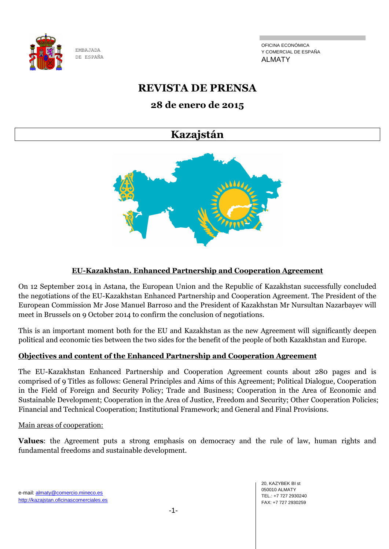

OFICINA ECONÓMICA Y COMERCIAL DE ESPAÑA ALMATY

# **REVISTA DE PRENSA**

## **28 de enero de 2015**

## **Kazajstán**



## **EU-Kazakhstan. Enhanced Partnership and Cooperation Agreement**

On 12 September 2014 in Astana, the European Union and the Republic of Kazakhstan successfully concluded the negotiations of the EU-Kazakhstan Enhanced Partnership and Cooperation Agreement. The President of the European Commission Mr Jose Manuel Barroso and the President of Kazakhstan Mr Nursultan Nazarbayev will meet in Brussels on 9 October 2014 to confirm the conclusion of negotiations.

This is an important moment both for the EU and Kazakhstan as the new Agreement will significantly deepen political and economic ties between the two sides for the benefit of the people of both Kazakhstan and Europe.

#### **Objectives and content of the Enhanced Partnership and Cooperation Agreement**

The EU-Kazakhstan Enhanced Partnership and Cooperation Agreement counts about 280 pages and is comprised of 9 Titles as follows: General Principles and Aims of this Agreement; Political Dialogue, Cooperation in the Field of Foreign and Security Policy; Trade and Business; Cooperation in the Area of Economic and Sustainable Development; Cooperation in the Area of Justice, Freedom and Security; Other Cooperation Policies; Financial and Technical Cooperation; Institutional Framework; and General and Final Provisions.

#### Main areas of cooperation:

**Values**: the Agreement puts a strong emphasis on democracy and the rule of law, human rights and fundamental freedoms and sustainable development.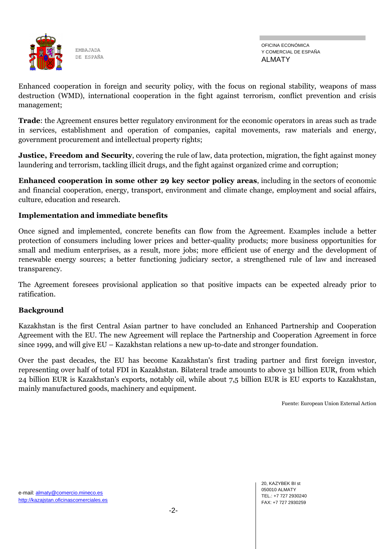

Enhanced cooperation in foreign and security policy, with the focus on regional stability, weapons of mass destruction (WMD), international cooperation in the fight against terrorism, conflict prevention and crisis management;

**Trade**: the Agreement ensures better regulatory environment for the economic operators in areas such as trade in services, establishment and operation of companies, capital movements, raw materials and energy, government procurement and intellectual property rights;

**Justice, Freedom and Security**, covering the rule of law, data protection, migration, the fight against money laundering and terrorism, tackling illicit drugs, and the fight against organized crime and corruption;

**Enhanced cooperation in some other 29 key sector policy areas**, including in the sectors of economic and financial cooperation, energy, transport, environment and climate change, employment and social affairs, culture, education and research.

## **Implementation and immediate benefits**

Once signed and implemented, concrete benefits can flow from the Agreement. Examples include a better protection of consumers including lower prices and better-quality products; more business opportunities for small and medium enterprises, as a result, more jobs; more efficient use of energy and the development of renewable energy sources; a better functioning judiciary sector, a strengthened rule of law and increased transparency.

The Agreement foresees provisional application so that positive impacts can be expected already prior to ratification.

#### **Background**

Kazakhstan is the first Central Asian partner to have concluded an Enhanced Partnership and Cooperation Agreement with the EU. The new Agreement will replace the Partnership and Cooperation Agreement in force since 1999, and will give EU – Kazakhstan relations a new up-to-date and stronger foundation.

Over the past decades, the EU has become Kazakhstan's first trading partner and first foreign investor, representing over half of total FDI in Kazakhstan. Bilateral trade amounts to above 31 billion EUR, from which 24 billion EUR is Kazakhstan's exports, notably oil, while about 7,5 billion EUR is EU exports to Kazakhstan, mainly manufactured goods, machinery and equipment.

Fuente: European Union External Action

20, KAZYBEK BI st 050010 ALMATY TEL.: +7 727 2930240 FAX: +7 727 2930259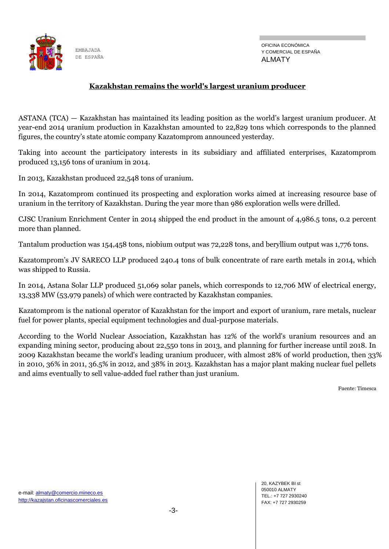

#### **Kazakhstan remains the world's largest uranium producer**

ASTANA (TCA) — Kazakhstan has maintained its leading position as the world's largest uranium producer. At year-end 2014 uranium production in Kazakhstan amounted to 22,829 tons which corresponds to the planned figures, the country's state atomic company Kazatomprom announced yesterday.

Taking into account the participatory interests in its subsidiary and affiliated enterprises, Kazatomprom produced 13,156 tons of uranium in 2014.

In 2013, Kazakhstan produced 22,548 tons of uranium.

In 2014, Kazatomprom continued its prospecting and exploration works aimed at increasing resource base of uranium in the territory of Kazakhstan. During the year more than 986 exploration wells were drilled.

CJSC Uranium Enrichment Center in 2014 shipped the end product in the amount of 4,986.5 tons, 0.2 percent more than planned.

Tantalum production was 154,458 tons, niobium output was 72,228 tons, and beryllium output was 1,776 tons.

Kazatomprom's JV SARECO LLP produced 240.4 tons of bulk concentrate of rare earth metals in 2014, which was shipped to Russia.

In 2014, Astana Solar LLP produced 51,069 solar panels, which corresponds to 12,706 MW of electrical energy, 13,338 MW (53,979 panels) of which were contracted by Kazakhstan companies.

Kazatomprom is the national operator of Kazakhstan for the import and export of uranium, rare metals, nuclear fuel for power plants, special equipment technologies and dual-purpose materials.

According to the World Nuclear Association, Kazakhstan has 12% of the world's uranium resources and an expanding mining sector, producing about 22,550 tons in 2013, and planning for further increase until 2018. In 2009 Kazakhstan became the world's leading uranium producer, with almost 28% of world production, then 33% in 2010, 36% in 2011, 36.5% in 2012, and 38% in 2013. Kazakhstan has a major plant making nuclear fuel pellets and aims eventually to sell value-added fuel rather than just uranium.

Fuente: Timesca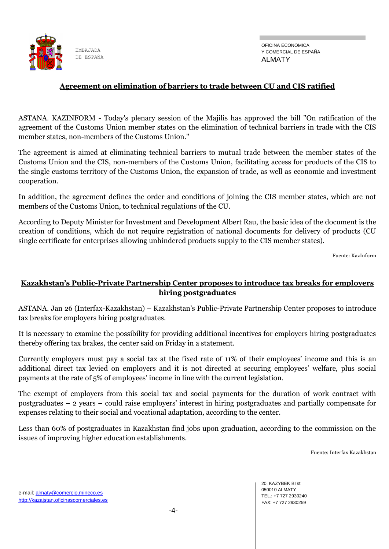

#### **Agreement on elimination of barriers to trade between CU and CIS ratified**

ASTANA. KAZINFORM - Today's plenary session of the Majilis has approved the bill "On ratification of the agreement of the Customs Union member states on the elimination of technical barriers in trade with the CIS member states, non-members of the Customs Union."

The agreement is aimed at eliminating technical barriers to mutual trade between the member states of the Customs Union and the CIS, non-members of the Customs Union, facilitating access for products of the CIS to the single customs territory of the Customs Union, the expansion of trade, as well as economic and investment cooperation.

In addition, the agreement defines the order and conditions of joining the CIS member states, which are not members of the Customs Union, to technical regulations of the CU.

According to Deputy Minister for Investment and Development Albert Rau, the basic idea of the document is the creation of conditions, which do not require registration of national documents for delivery of products (CU single certificate for enterprises allowing unhindered products supply to the CIS member states).

Fuente: KazInform

## **Kazakhstan's Public-Private Partnership Center proposes to introduce tax breaks for employers hiring postgraduates**

ASTANA. Jan 26 (Interfax-Kazakhstan) – Kazakhstan's Public-Private Partnership Center proposes to introduce tax breaks for employers hiring postgraduates.

It is necessary to examine the possibility for providing additional incentives for employers hiring postgraduates thereby offering tax brakes, the center said on Friday in a statement.

Currently employers must pay a social tax at the fixed rate of 11% of their employees' income and this is an additional direct tax levied on employers and it is not directed at securing employees' welfare, plus social payments at the rate of 5% of employees' income in line with the current legislation.

The exempt of employers from this social tax and social payments for the duration of work contract with postgraduates – 2 years – could raise employers' interest in hiring postgraduates and partially compensate for expenses relating to their social and vocational adaptation, according to the center.

Less than 60% of postgraduates in Kazakhstan find jobs upon graduation, according to the commission on the issues of improving higher education establishments.

Fuente: Interfax Kazakhstan

20, KAZYBEK BI st 050010 ALMATY TEL.: +7 727 2930240 FAX: +7 727 2930259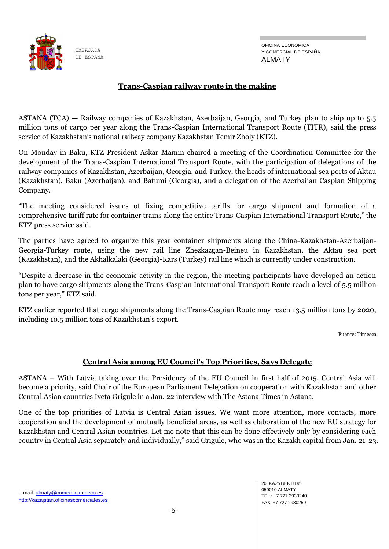

## **Trans-Caspian railway route in the making**

ASTANA (TCA) — Railway companies of Kazakhstan, Azerbaijan, Georgia, and Turkey plan to ship up to 5.5 million tons of cargo per year along the Trans-Caspian International Transport Route (TITR), said the press service of Kazakhstan's national railway company Kazakhstan Temir Zholy (KTZ).

On Monday in Baku, KTZ President Askar Mamin chaired a meeting of the Coordination Committee for the development of the Trans-Caspian International Transport Route, with the participation of delegations of the railway companies of Kazakhstan, Azerbaijan, Georgia, and Turkey, the heads of international sea ports of Aktau (Kazakhstan), Baku (Azerbaijan), and Batumi (Georgia), and a delegation of the Azerbaijan Caspian Shipping Company.

"The meeting considered issues of fixing competitive tariffs for cargo shipment and formation of a comprehensive tariff rate for container trains along the entire Trans-Caspian International Transport Route," the KTZ press service said.

The parties have agreed to organize this year container shipments along the China-Kazakhstan-Azerbaijan-Georgia-Turkey route, using the new rail line Zhezkazgan-Beineu in Kazakhstan, the Aktau sea port (Kazakhstan), and the Akhalkalaki (Georgia)-Kars (Turkey) rail line which is currently under construction.

"Despite a decrease in the economic activity in the region, the meeting participants have developed an action plan to have cargo shipments along the Trans-Caspian International Transport Route reach a level of 5.5 million tons per year," KTZ said.

KTZ earlier reported that cargo shipments along the Trans-Caspian Route may reach 13.5 million tons by 2020, including 10.5 million tons of Kazakhstan's export.

Fuente: Timesca

#### **Central Asia among EU Council's Top Priorities, Says Delegate**

ASTANA – With Latvia taking over the Presidency of the EU Council in first half of 2015, Central Asia will become a priority, said Chair of the European Parliament Delegation on cooperation with Kazakhstan and other Central Asian countries Iveta Grigule in a Jan. 22 interview with The Astana Times in Astana.

One of the top priorities of Latvia is Central Asian issues. We want more attention, more contacts, more cooperation and the development of mutually beneficial areas, as well as elaboration of the new EU strategy for Kazakhstan and Central Asian countries. Let me note that this can be done effectively only by considering each country in Central Asia separately and individually," said Grigule, who was in the Kazakh capital from Jan. 21-23.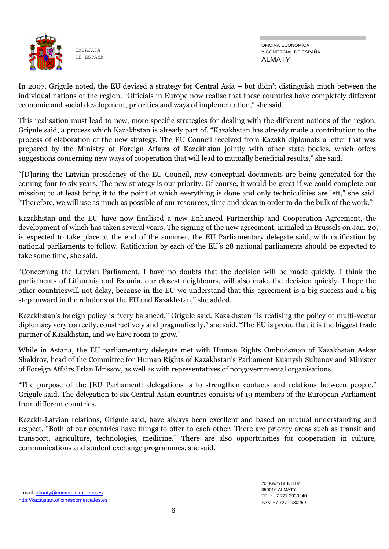

In 2007, Grigule noted, the EU devised a strategy for Central Asia – but didn't distinguish much between the individual nations of the region. "Officials in Europe now realise that these countries have completely different economic and social development, priorities and ways of implementation," she said.

This realisation must lead to new, more specific strategies for dealing with the different nations of the region, Grigule said, a process which Kazakhstan is already part of. "Kazakhstan has already made a contribution to the process of elaboration of the new strategy. The EU Council received from Kazakh diplomats a letter that was prepared by the Ministry of Foreign Affairs of Kazakhstan jointly with other state bodies, which offers suggestions concerning new ways of cooperation that will lead to mutually beneficial results," she said.

"[D]uring the Latvian presidency of the EU Council, new conceptual documents are being generated for the coming four to six years. The new strategy is our priority. Of course, it would be great if we could complete our mission; to at least bring it to the point at which everything is done and only technicalities are left," she said. "Therefore, we will use as much as possible of our resources, time and ideas in order to do the bulk of the work."

Kazakhstan and the EU have now finalised a new Enhanced Partnership and Cooperation Agreement, the development of which has taken several years. The signing of the new agreement, initialed in Brussels on Jan. 20, is expected to take place at the end of the summer, the EU Parliamentary delegate said, with ratification by national parliaments to follow. Ratification by each of the EU's 28 national parliaments should be expected to take some time, she said.

"Concerning the Latvian Parliament, I have no doubts that the decision will be made quickly. I think the parliaments of Lithuania and Estonia, our closest neighbours, will also make the decision quickly. I hope the other countrieswill not delay, because in the EU we understand that this agreement is a big success and a big step onward in the relations of the EU and Kazakhstan," she added.

Kazakhstan's foreign policy is "very balanced," Grigule said. Kazakhstan "is realising the policy of multi-vector diplomacy very correctly, constructively and pragmatically," she said. "The EU is proud that it is the biggest trade partner of Kazakhstan, and we have room to grow."

While in Astana, the EU parliamentary delegate met with Human Rights Ombudsman of Kazakhstan Askar Shakirov, head of the Committee for Human Rights of Kazakhstan's Parliament Kuanysh Sultanov and Minister of Foreign Affairs Erlan Idrissov, as well as with representatives of nongovernmental organisations.

"The purpose of the [EU Parliament] delegations is to strengthen contacts and relations between people," Grigule said. The delegation to six Central Asian countries consists of 19 members of the European Parliament from different countries.

Kazakh-Latvian relations, Grigule said, have always been excellent and based on mutual understanding and respect. "Both of our countries have things to offer to each other. There are priority areas such as transit and transport, agriculture, technologies, medicine." There are also opportunities for cooperation in culture, communications and student exchange programmes, she said.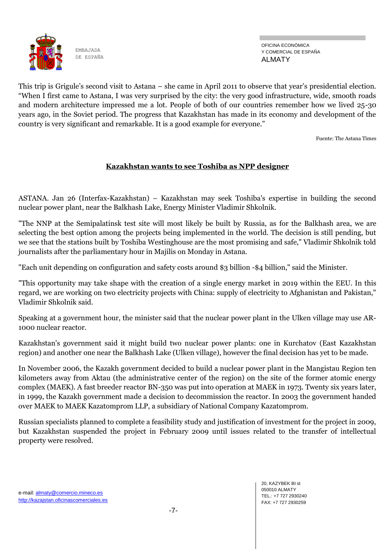

OFICINA ECONÓMICA Y COMERCIAL DE ESPAÑA ALMATY

This trip is Grigule's second visit to Astana – she came in April 2011 to observe that year's presidential election. "When I first came to Astana, I was very surprised by the city: the very good infrastructure, wide, smooth roads and modern architecture impressed me a lot. People of both of our countries remember how we lived 25-30 years ago, in the Soviet period. The progress that Kazakhstan has made in its economy and development of the country is very significant and remarkable. It is a good example for everyone."

Fuente: The Astana Times

## **Kazakhstan wants to see Toshiba as NPP designer**

ASTANA. Jan 26 (Interfax-Kazakhstan) – Kazakhstan may seek Toshiba's expertise in building the second nuclear power plant, near the Balkhash Lake, Energy Minister Vladimir Shkolnik.

"The NNP at the Semipalatinsk test site will most likely be built by Russia, as for the Balkhash area, we are selecting the best option among the projects being implemented in the world. The decision is still pending, but we see that the stations built by Toshiba Westinghouse are the most promising and safe," Vladimir Shkolnik told journalists after the parliamentary hour in Majilis on Monday in Astana.

"Each unit depending on configuration and safety costs around \$3 billion -\$4 billion," said the Minister.

"This opportunity may take shape with the creation of a single energy market in 2019 within the EEU. In this regard, we are working on two electricity projects with China: supply of electricity to Afghanistan and Pakistan," Vladimir Shkolnik said.

Speaking at a government hour, the minister said that the nuclear power plant in the Ulken village may use AR-1000 nuclear reactor.

Kazakhstan's government said it might build two nuclear power plants: one in Kurchatov (East Kazakhstan region) and another one near the Balkhash Lake (Ulken village), however the final decision has yet to be made.

In November 2006, the Kazakh government decided to build a nuclear power plant in the Mangistau Region ten kilometers away from Aktau (the administrative center of the region) on the site of the former atomic energy complex (MAEK). A fast breeder reactor BN-350 was put into operation at MAEK in 1973. Twenty six years later, in 1999, the Kazakh government made a decision to decommission the reactor. In 2003 the government handed over MAEK to MAEK Kazatomprom LLP, a subsidiary of National Company Kazatomprom.

Russian specialists planned to complete a feasibility study and justification of investment for the project in 2009, but Kazakhstan suspended the project in February 2009 until issues related to the transfer of intellectual property were resolved.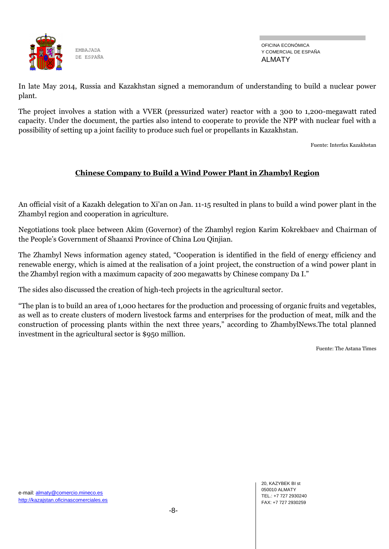

In late May 2014, Russia and Kazakhstan signed a memorandum of understanding to build a nuclear power plant.

The project involves a station with a VVER (pressurized water) reactor with a 300 to 1,200-megawatt rated capacity. Under the document, the parties also intend to cooperate to provide the NPP with nuclear fuel with a possibility of setting up a joint facility to produce such fuel or propellants in Kazakhstan.

Fuente: Interfax Kazakhstan

## **Chinese Company to Build a Wind Power Plant in Zhambyl Region**

An official visit of a Kazakh delegation to Xi'an on Jan. 11-15 resulted in plans to build a wind power plant in the Zhambyl region and cooperation in agriculture.

Negotiations took place between Akim (Governor) of the Zhambyl region Karim Kokrekbaev and Chairman of the People's Government of Shaanxi Province of China Lou Qinjian.

The Zhambyl News information agency stated, "Cooperation is identified in the field of energy efficiency and renewable energy, which is aimed at the realisation of a joint project, the construction of a wind power plant in the Zhambyl region with a maximum capacity of 200 megawatts by Chinese company Da I."

The sides also discussed the creation of high-tech projects in the agricultural sector.

"The plan is to build an area of 1,000 hectares for the production and processing of organic fruits and vegetables, as well as to create clusters of modern livestock farms and enterprises for the production of meat, milk and the construction of processing plants within the next three years," according to ZhambylNews.The total planned investment in the agricultural sector is \$950 million.

Fuente: The Astana Times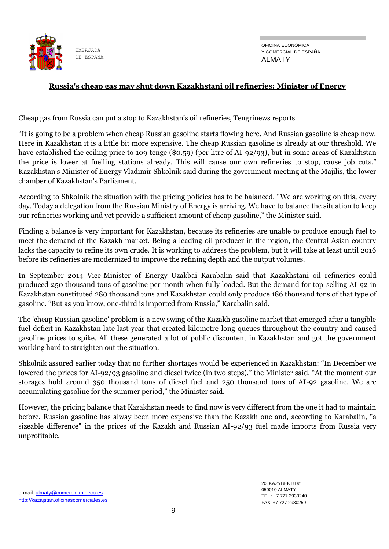

## **Russia's cheap gas may shut down Kazakhstani oil refineries: Minister of Energy**

Cheap gas from Russia can put a stop to Kazakhstan's oil refineries, Tengrinews reports.

"It is going to be a problem when cheap Russian gasoline starts flowing here. And Russian gasoline is cheap now. Here in Kazakhstan it is a little bit more expensive. The cheap Russian gasoline is already at our threshold. We have established the ceiling price to 109 tenge (\$0.59) (per litre of AI-92/93), but in some areas of Kazakhstan the price is lower at fuelling stations already. This will cause our own refineries to stop, cause job cuts," Kazakhstan's Minister of Energy Vladimir Shkolnik said during the government meeting at the Majilis, the lower chamber of Kazakhstan's Parliament.

According to Shkolnik the situation with the pricing policies has to be balanced. "We are working on this, every day. Today a delegation from the Russian Ministry of Energy is arriving. We have to balance the situation to keep our refineries working and yet provide a sufficient amount of cheap gasoline," the Minister said.

Finding a balance is very important for Kazakhstan, because its refineries are unable to produce enough fuel to meet the demand of the Kazakh market. Being a leading oil producer in the region, the Central Asian country lacks the capacity to refine its own crude. It is working to address the problem, but it will take at least until 2016 before its refineries are modernized to improve the refining depth and the output volumes.

In September 2014 Vice-Minister of Energy Uzakbai Karabalin said that Kazakhstani oil refineries could produced 250 thousand tons of gasoline per month when fully loaded. But the demand for top-selling AI-92 in Kazakhstan constituted 280 thousand tons and Kazakhstan could only produce 186 thousand tons of that type of gasoline. "But as you know, one-third is imported from Russia," Karabalin said.

The 'cheap Russian gasoline' problem is a new swing of the Kazakh gasoline market that emerged after a tangible fuel deficit in Kazakhstan late last year that created kilometre-long queues throughout the country and caused gasoline prices to spike. All these generated a lot of public discontent in Kazakhstan and got the government working hard to straighten out the situation.

Shkolnik assured earlier today that no further shortages would be experienced in Kazakhstan: "In December we lowered the prices for AI-92/93 gasoline and diesel twice (in two steps)," the Minister said. "At the moment our storages hold around 350 thousand tons of diesel fuel and 250 thousand tons of AI-92 gasoline. We are accumulating gasoline for the summer period," the Minister said.

However, the pricing balance that Kazakhstan needs to find now is very different from the one it had to maintain before. Russian gasoline has alway been more expensive than the Kazakh one and, according to Karabalin, "a sizeable difference" in the prices of the Kazakh and Russian AI-92/93 fuel made imports from Russia very unprofitable.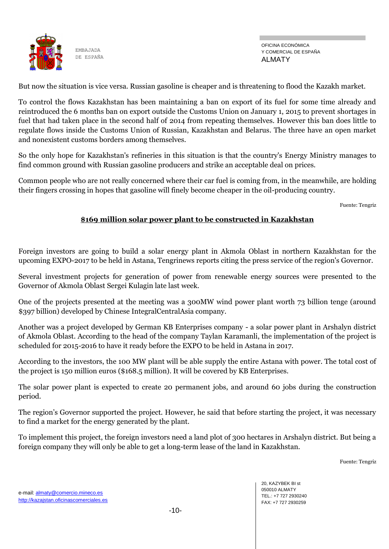

OFICINA ECONÓMICA Y COMERCIAL DE ESPAÑA ALMATY

But now the situation is vice versa. Russian gasoline is cheaper and is threatening to flood the Kazakh market.

To control the flows Kazakhstan has been maintaining a ban on export of its fuel for some time already and reintroduced the 6 months ban on export outside the Customs Union on January 1, 2015 to prevent shortages in fuel that had taken place in the second half of 2014 from repeating themselves. However this ban does little to regulate flows inside the Customs Union of Russian, Kazakhstan and Belarus. The three have an open market and nonexistent customs borders among themselves.

So the only hope for Kazakhstan's refineries in this situation is that the country's Energy Ministry manages to find common ground with Russian gasoline producers and strike an acceptable deal on prices.

Common people who are not really concerned where their car fuel is coming from, in the meanwhile, are holding their fingers crossing in hopes that gasoline will finely become cheaper in the oil-producing country.

Fuente: Tengriz

#### **\$169 million solar power plant to be constructed in Kazakhstan**

Foreign investors are going to build a solar energy plant in Akmola Oblast in northern Kazakhstan for the upcoming EXPO-2017 to be held in Astana, Tengrinews reports citing the press service of the region's Governor.

Several investment projects for generation of power from renewable energy sources were presented to the Governor of Akmola Oblast Sergei Kulagin late last week.

One of the projects presented at the meeting was a 300MW wind power plant worth 73 billion tenge (around \$397 billion) developed by Chinese IntegralCentralAsia company.

Another was a project developed by German KB Enterprises company - a solar power plant in Arshalyn district of Akmola Oblast. According to the head of the company Taylan Karamanli, the implementation of the project is scheduled for 2015-2016 to have it ready before the EXPO to be held in Astana in 2017.

According to the investors, the 100 MW plant will be able supply the entire Astana with power. The total cost of the project is 150 million euros (\$168.5 million). It will be covered by KB Enterprises.

The solar power plant is expected to create 20 permanent jobs, and around 60 jobs during the construction period.

The region's Governor supported the project. However, he said that before starting the project, it was necessary to find a market for the energy generated by the plant.

To implement this project, the foreign investors need a land plot of 300 hectares in Arshalyn district. But being a foreign company they will only be able to get a long-term lease of the land in Kazakhstan.

Fuente: Tengriz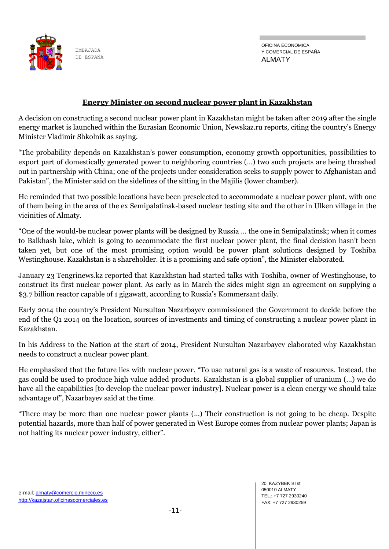

OFICINA ECONÓMICA Y COMERCIAL DE ESPAÑA ALMATY

#### **Energy Minister on second nuclear power plant in Kazakhstan**

A decision on constructing a second nuclear power plant in Kazakhstan might be taken after 2019 after the single energy market is launched within the Eurasian Economic Union, Newskaz.ru reports, citing the country's Energy Minister Vladimir Shkolnik as saying.

"The probability depends on Kazakhstan's power consumption, economy growth opportunities, possibilities to export part of domestically generated power to neighboring countries (…) two such projects are being thrashed out in partnership with China; one of the projects under consideration seeks to supply power to Afghanistan and Pakistan", the Minister said on the sidelines of the sitting in the Majilis (lower chamber).

He reminded that two possible locations have been preselected to accommodate a nuclear power plant, with one of them being in the area of the ex Semipalatinsk-based nuclear testing site and the other in Ulken village in the vicinities of Almaty.

"One of the would-be nuclear power plants will be designed by Russia … the one in Semipalatinsk; when it comes to Balkhash lake, which is going to accommodate the first nuclear power plant, the final decision hasn't been taken yet, but one of the most promising option would be power plant solutions designed by Toshiba Westinghouse. Kazakhstan is a shareholder. It is a promising and safe option", the Minister elaborated.

January 23 Tengrinews.kz reported that Kazakhstan had started talks with Toshiba, owner of Westinghouse, to construct its first nuclear power plant. As early as in March the sides might sign an agreement on supplying a \$3.7 billion reactor capable of 1 gigawatt, according to Russia's Kommersant daily.

Early 2014 the country's President Nursultan Nazarbayev commissioned the Government to decide before the end of the Q1 2014 on the location, sources of investments and timing of constructing a nuclear power plant in Kazakhstan.

In his Address to the Nation at the start of 2014, President Nursultan Nazarbayev elaborated why Kazakhstan needs to construct a nuclear power plant.

He emphasized that the future lies with nuclear power. "To use natural gas is a waste of resources. Instead, the gas could be used to produce high value added products. Kazakhstan is a global supplier of uranium (…) we do have all the capabilities [to develop the nuclear power industry]. Nuclear power is a clean energy we should take advantage of", Nazarbayev said at the time.

"There may be more than one nuclear power plants (…) Their construction is not going to be cheap. Despite potential hazards, more than half of power generated in West Europe comes from nuclear power plants; Japan is not halting its nuclear power industry, either".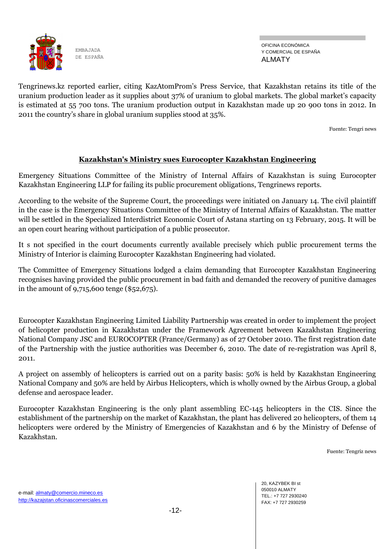

OFICINA ECONÓMICA Y COMERCIAL DE ESPAÑA ALMATY

Tengrinews.kz reported earlier, citing KazAtomProm's Press Service, that Kazakhstan retains its title of the uranium production leader as it supplies about 37% of uranium to global markets. The global market's capacity is estimated at 55 700 tons. The uranium production output in Kazakhstan made up 20 900 tons in 2012. In 2011 the country's share in global uranium supplies stood at 35%.

Fuente: Tengri news

#### **Kazakhstan's Ministry sues Eurocopter Kazakhstan Engineering**

Emergency Situations Committee of the Ministry of Internal Affairs of Kazakhstan is suing Eurocopter Kazakhstan Engineering LLP for failing its public procurement obligations, Tengrinews reports.

According to the website of the Supreme Court, the proceedings were initiated on January 14. The civil plaintiff in the case is the Emergency Situations Committee of the Ministry of Internal Affairs of Kazakhstan. The matter will be settled in the Specialized Interdistrict Economic Court of Astana starting on 13 February, 2015. It will be an open court hearing without participation of a public prosecutor.

It s not specified in the court documents currently available precisely which public procurement terms the Ministry of Interior is claiming Eurocopter Kazakhstan Engineering had violated.

The Committee of Emergency Situations lodged a claim demanding that Eurocopter Kazakhstan Engineering recognises having provided the public procurement in bad faith and demanded the recovery of punitive damages in the amount of 9,715,600 tenge (\$52,675).

Eurocopter Kazakhstan Engineering Limited Liability Partnership was created in order to implement the project of helicopter production in Kazakhstan under the Framework Agreement between Kazakhstan Engineering National Company JSC and EUROCOPTER (France/Germany) as of 27 October 2010. The first registration date of the Partnership with the justice authorities was December 6, 2010. The date of re-registration was April 8, 2011.

A project on assembly of helicopters is carried out on a parity basis: 50% is held by Kazakhstan Engineering National Company and 50% are held by Airbus Helicopters, which is wholly owned by the Airbus Group, a global defense and aerospace leader.

Eurocopter Kazakhstan Engineering is the only plant assembling EC-145 helicopters in the CIS. Since the establishment of the partnership on the market of Kazakhstan, the plant has delivered 20 helicopters, of them 14 helicopters were ordered by the Ministry of Emergencies of Kazakhstan and 6 by the Ministry of Defense of Kazakhstan.

Fuente: Tengriz news

20, KAZYBEK BI st 050010 ALMATY TEL.: +7 727 2930240 FAX: +7 727 2930259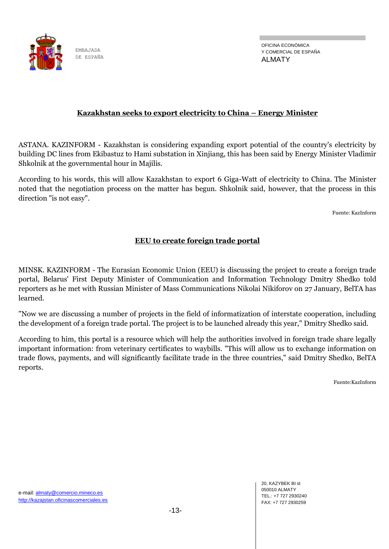

OFICINA ECONÓMICA Y COMERCIAL DE ESPAÑA ALMATY

## **Kazakhstan seeks to export electricity to China – Energy Minister**

ASTANA. KAZINFORM - Kazakhstan is considering expanding export potential of the country's electricity by building DC lines from Ekibastuz to Hami substation in Xinjiang, this has been said by Energy Minister Vladimir Shkolnik at the governmental hour in Majilis.

According to his words, this will allow Kazakhstan to export 6 Giga-Watt of electricity to China. The Minister noted that the negotiation process on the matter has begun. Shkolnik said, however, that the process in this direction "is not easy".

Fuente: KazInform

## **EEU to create foreign trade portal**

MINSK. KAZINFORM - The Eurasian Economic Union (EEU) is discussing the project to create a foreign trade portal, Belarus' First Deputy Minister of Communication and Information Technology Dmitry Shedko told reporters as he met with Russian Minister of Mass Communications Nikolai Nikiforov on 27 January, BelTA has learned.

"Now we are discussing a number of projects in the field of informatization of interstate cooperation, including the development of a foreign trade portal. The project is to be launched already this year," Dmitry Shedko said.

According to him, this portal is a resource which will help the authorities involved in foreign trade share legally important information: from veterinary certificates to waybills. "This will allow us to exchange information on trade flows, payments, and will significantly facilitate trade in the three countries," said Dmitry Shedko, BelTA reports.

Fuente:KazInform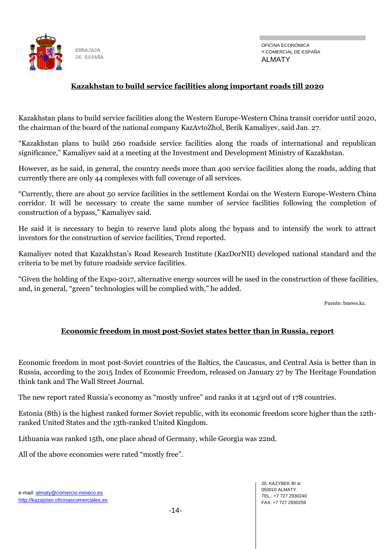

OFICINA ECONÓMICA Y COMERCIAL DE ESPAÑA ALMATY

## **Kazakhstan to build service facilities along important roads till 2020**

Kazakhstan plans to build service facilities along the Western Europe-Western China transit corridor until 2020, the chairman of the board of the national company KazAvtoZhol, Berik Kamaliyev, said Jan. 27.

"Kazakhstan plans to build 260 roadside service facilities along the roads of international and republican significance," Kamaliyev said at a meeting at the Investment and Development Ministry of Kazakhstan.

However, as he said, in general, the country needs more than 400 service facilities along the roads, adding that currently there are only 44 complexes with full coverage of all services.

"Currently, there are about 50 service facilities in the settlement Kordai on the Western Europe-Western China corridor. It will be necessary to create the same number of service facilities following the completion of construction of a bypass," Kamaliyev said.

He said it is necessary to begin to reserve land plots along the bypass and to intensify the work to attract investors for the construction of service facilities, Trend reported.

Kamaliyev noted that Kazakhstan's Road Research Institute (KazDorNII) developed national standard and the criteria to be met by future roadside service facilities.

"Given the holding of the Expo-2017, alternative energy sources will be used in the construction of these facilities, and, in general, "green" technologies will be complied with," he added.

Fuente: bnews.kz.

#### **Economic freedom in most post-Soviet states better than in Russia, report**

Economic freedom in most post-Soviet countries of the Baltics, the Caucasus, and Central Asia is better than in Russia, according to the 2015 Index of Economic Freedom, released on January 27 by The Heritage Foundation think tank and The Wall Street Journal.

The new report rated Russia's economy as "mostly unfree" and ranks it at 143rd out of 178 countries.

Estonia (8th) is the highest ranked former Soviet republic, with its economic freedom score higher than the 12thranked United States and the 13th-ranked United Kingdom.

Lithuania was ranked 15th, one place ahead of Germany, while Georgia was 22nd.

All of the above economies were rated "mostly free".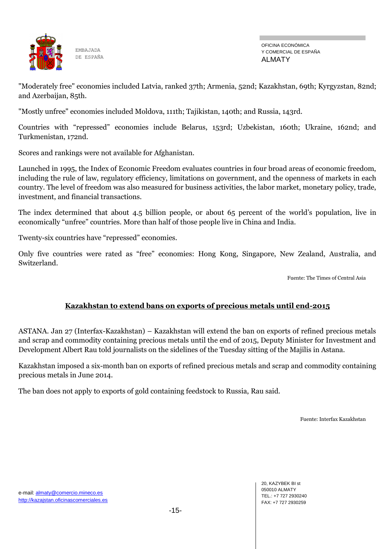

OFICINA ECONÓMICA Y COMERCIAL DE ESPAÑA ALMATY

"Moderately free" economies included Latvia, ranked 37th; Armenia, 52nd; Kazakhstan, 69th; Kyrgyzstan, 82nd; and Azerbaijan, 85th.

"Mostly unfree" economies included Moldova, 111th; Tajikistan, 140th; and Russia, 143rd.

Countries with "repressed" economies include Belarus, 153rd; Uzbekistan, 160th; Ukraine, 162nd; and Turkmenistan, 172nd.

Scores and rankings were not available for Afghanistan.

Launched in 1995, the Index of Economic Freedom evaluates countries in four broad areas of economic freedom, including the rule of law, regulatory efficiency, limitations on government, and the openness of markets in each country. The level of freedom was also measured for business activities, the labor market, monetary policy, trade, investment, and financial transactions.

The index determined that about 4.5 billion people, or about 65 percent of the world's population, live in economically "unfree" countries. More than half of those people live in China and India.

Twenty-six countries have "repressed" economies.

Only five countries were rated as "free" economies: Hong Kong, Singapore, New Zealand, Australia, and Switzerland.

Fuente: The Times of Central Asia

## **Kazakhstan to extend bans on exports of precious metals until end-2015**

ASTANA. Jan 27 (Interfax-Kazakhstan) – Kazakhstan will extend the ban on exports of refined precious metals and scrap and commodity containing precious metals until the end of 2015, Deputy Minister for Investment and Development Albert Rau told journalists on the sidelines of the Tuesday sitting of the Majilis in Astana.

Kazakhstan imposed a six-month ban on exports of refined precious metals and scrap and commodity containing precious metals in June 2014.

The ban does not apply to exports of gold containing feedstock to Russia, Rau said.

Fuente: Interfax Kazakhstan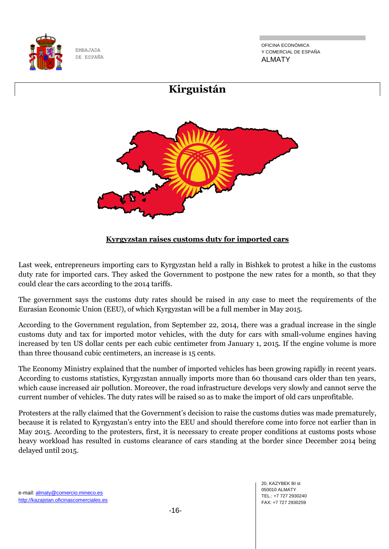

OFICINA ECONÓMICA Y COMERCIAL DE ESPAÑA ALMATY



## **Kyrgyzstan raises customs duty for imported cars**

Last week, entrepreneurs importing cars to Kyrgyzstan held a rally in Bishkek to protest a hike in the customs duty rate for imported cars. They asked the Government to postpone the new rates for a month, so that they could clear the cars according to the 2014 tariffs.

The government says the customs duty rates should be raised in any case to meet the requirements of the Eurasian Economic Union (EEU), of which Kyrgyzstan will be a full member in May 2015.

According to the Government regulation, from September 22, 2014, there was a gradual increase in the single customs duty and tax for imported motor vehicles, with the duty for cars with small-volume engines having increased by ten US dollar cents per each cubic centimeter from January 1, 2015. If the engine volume is more than three thousand cubic centimeters, an increase is 15 cents.

The Economy Ministry explained that the number of imported vehicles has been growing rapidly in recent years. According to customs statistics, Kyrgyzstan annually imports more than 60 thousand cars older than ten years, which cause increased air pollution. Moreover, the road infrastructure develops very slowly and cannot serve the current number of vehicles. The duty rates will be raised so as to make the import of old cars unprofitable.

Protesters at the rally claimed that the Government's decision to raise the customs duties was made prematurely, because it is related to Kyrgyzstan's entry into the EEU and should therefore come into force not earlier than in May 2015. According to the protesters, first, it is necessary to create proper conditions at customs posts whose heavy workload has resulted in customs clearance of cars standing at the border since December 2014 being delayed until 2015.

e-mail: almaty@comercio.mineco.es http://kazajstan.oficinascomerciales.es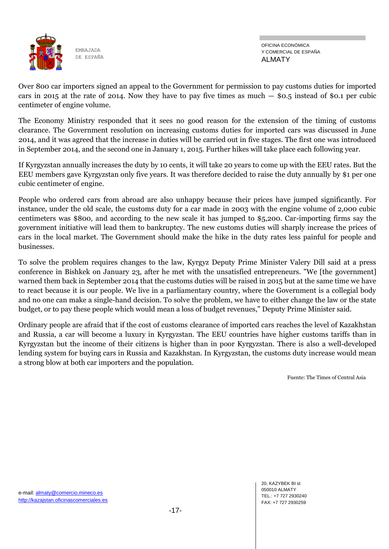

OFICINA ECONÓMICA Y COMERCIAL DE ESPAÑA ALMATY

Over 800 car importers signed an appeal to the Government for permission to pay customs duties for imported cars in 2015 at the rate of 2014. Now they have to pay five times as much  $-$  \$0.5 instead of \$0.1 per cubic centimeter of engine volume.

The Economy Ministry responded that it sees no good reason for the extension of the timing of customs clearance. The Government resolution on increasing customs duties for imported cars was discussed in June 2014, and it was agreed that the increase in duties will be carried out in five stages. The first one was introduced in September 2014, and the second one in January 1, 2015. Further hikes will take place each following year.

If Kyrgyzstan annually increases the duty by 10 cents, it will take 20 years to come up with the EEU rates. But the EEU members gave Kyrgyzstan only five years. It was therefore decided to raise the duty annually by \$1 per one cubic centimeter of engine.

People who ordered cars from abroad are also unhappy because their prices have jumped significantly. For instance, under the old scale, the customs duty for a car made in 2003 with the engine volume of 2,000 cubic centimeters was \$800, and according to the new scale it has jumped to \$5,200. Car-importing firms say the government initiative will lead them to bankruptcy. The new customs duties will sharply increase the prices of cars in the local market. The Government should make the hike in the duty rates less painful for people and businesses.

To solve the problem requires changes to the law, Kyrgyz Deputy Prime Minister Valery Dill said at a press conference in Bishkek on January 23, after he met with the unsatisfied entrepreneurs. "We [the government] warned them back in September 2014 that the customs duties will be raised in 2015 but at the same time we have to react because it is our people. We live in a parliamentary country, where the Government is a collegial body and no one can make a single-hand decision. To solve the problem, we have to either change the law or the state budget, or to pay these people which would mean a loss of budget revenues," Deputy Prime Minister said.

Ordinary people are afraid that if the cost of customs clearance of imported cars reaches the level of Kazakhstan and Russia, a car will become a luxury in Kyrgyzstan. The EEU countries have higher customs tariffs than in Kyrgyzstan but the income of their citizens is higher than in poor Kyrgyzstan. There is also a well-developed lending system for buying cars in Russia and Kazakhstan. In Kyrgyzstan, the customs duty increase would mean a strong blow at both car importers and the population.

Fuente: The Times of Central Asia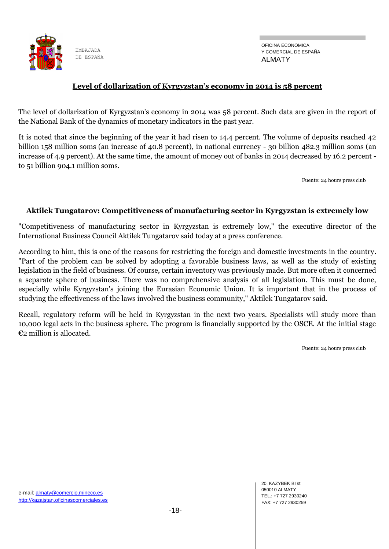

OFICINA ECONÓMICA Y COMERCIAL DE ESPAÑA ALMATY

## **Level of dollarization of Kyrgyzstan's economy in 2014 is 58 percent**

The level of dollarization of Kyrgyzstan's economy in 2014 was 58 percent. Such data are given in the report of the National Bank of the dynamics of monetary indicators in the past year.

It is noted that since the beginning of the year it had risen to 14.4 percent. The volume of deposits reached 42 billion 158 million soms (an increase of 40.8 percent), in national currency - 30 billion 482.3 million soms (an increase of 4.9 percent). At the same time, the amount of money out of banks in 2014 decreased by 16.2 percent to 51 billion 904.1 million soms.

Fuente: 24 hours press club

#### **Aktilek Tungatarov: Competitiveness of manufacturing sector in Kyrgyzstan is extremely low**

"Competitiveness of manufacturing sector in Kyrgyzstan is extremely low," the executive director of the International Business Council Aktilek Tungatarov said today at a press conference.

According to him, this is one of the reasons for restricting the foreign and domestic investments in the country. "Part of the problem can be solved by adopting a favorable business laws, as well as the study of existing legislation in the field of business. Of course, certain inventory was previously made. But more often it concerned a separate sphere of business. There was no comprehensive analysis of all legislation. This must be done, especially while Kyrgyzstan's joining the Eurasian Economic Union. It is important that in the process of studying the effectiveness of the laws involved the business community," Aktilek Tungatarov said.

Recall, regulatory reform will be held in Kyrgyzstan in the next two years. Specialists will study more than 10,000 legal acts in the business sphere. The program is financially supported by the OSCE. At the initial stage €2 million is allocated.

Fuente: 24 hours press club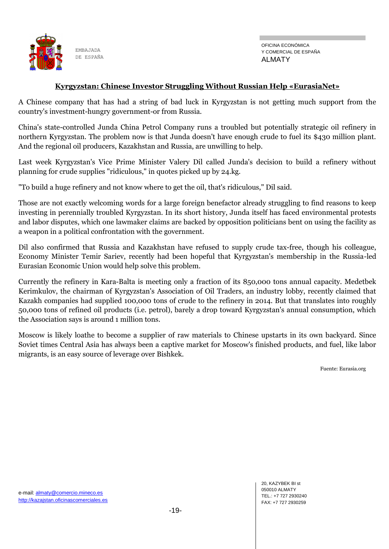

#### **Kyrgyzstan: Chinese Investor Struggling Without Russian Help «EurasiaNet»**

A Chinese company that has had a string of bad luck in Kyrgyzstan is not getting much support from the country's investment-hungry government-or from Russia.

China's state-controlled Junda China Petrol Company runs a troubled but potentially strategic oil refinery in northern Kyrgyzstan. The problem now is that Junda doesn't have enough crude to fuel its \$430 million plant. And the regional oil producers, Kazakhstan and Russia, are unwilling to help.

Last week Kyrgyzstan's Vice Prime Minister Valery Dil called Junda's decision to build a refinery without planning for crude supplies "ridiculous," in quotes picked up by 24.kg.

"To build a huge refinery and not know where to get the oil, that's ridiculous," Dil said.

Those are not exactly welcoming words for a large foreign benefactor already struggling to find reasons to keep investing in perennially troubled Kyrgyzstan. In its short history, Junda itself has faced environmental protests and labor disputes, which one lawmaker claims are backed by opposition politicians bent on using the facility as a weapon in a political confrontation with the government.

Dil also confirmed that Russia and Kazakhstan have refused to supply crude tax-free, though his colleague, Economy Minister Temir Sariev, recently had been hopeful that Kyrgyzstan's membership in the Russia-led Eurasian Economic Union would help solve this problem.

Currently the refinery in Kara-Balta is meeting only a fraction of its 850,000 tons annual capacity. Medetbek Kerimkulov, the chairman of Kyrgyzstan's Association of Oil Traders, an industry lobby, recently claimed that Kazakh companies had supplied 100,000 tons of crude to the refinery in 2014. But that translates into roughly 50,000 tons of refined oil products (i.e. petrol), barely a drop toward Kyrgyzstan's annual consumption, which the Association says is around 1 million tons.

Moscow is likely loathe to become a supplier of raw materials to Chinese upstarts in its own backyard. Since Soviet times Central Asia has always been a captive market for Moscow's finished products, and fuel, like labor migrants, is an easy source of leverage over Bishkek.

Fuente: Eurasia.org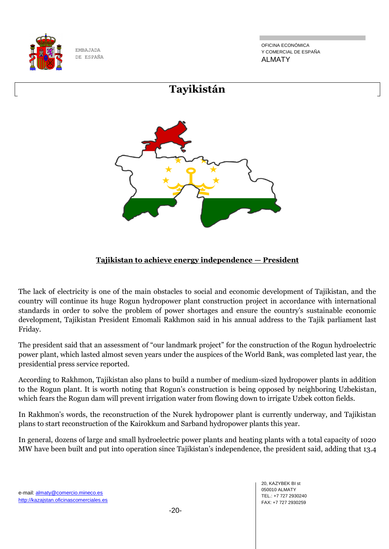

OFICINA ECONÓMICA Y COMERCIAL DE ESPAÑA ALMATY



## **Tajikistan to achieve energy independence — President**

The lack of electricity is one of the main obstacles to social and economic development of Tajikistan, and the country will continue its huge Rogun hydropower plant construction project in accordance with international standards in order to solve the problem of power shortages and ensure the country's sustainable economic development, Tajikistan President Emomali Rakhmon said in his annual address to the Tajik parliament last Friday.

The president said that an assessment of "our landmark project" for the construction of the Rogun hydroelectric power plant, which lasted almost seven years under the auspices of the World Bank, was completed last year, the presidential press service reported.

According to Rakhmon, Tajikistan also plans to build a number of medium-sized hydropower plants in addition to the Rogun plant. It is worth noting that Rogun's construction is being opposed by neighboring Uzbekistan, which fears the Rogun dam will prevent irrigation water from flowing down to irrigate Uzbek cotton fields.

In Rakhmon's words, the reconstruction of the Nurek hydropower plant is currently underway, and Tajikistan plans to start reconstruction of the Kairokkum and Sarband hydropower plants this year.

In general, dozens of large and small hydroelectric power plants and heating plants with a total capacity of 1020 MW have been built and put into operation since Tajikistan's independence, the president said, adding that 13.4